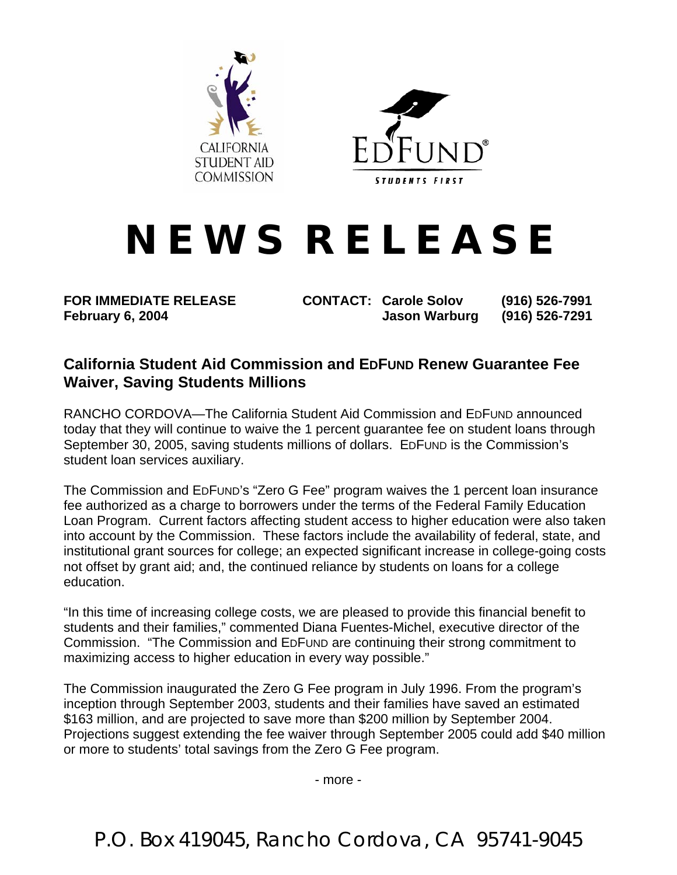



## **N E W S R E L E A S E**

**FOR IMMEDIATE RELEASE CONTACT: Carole Solov (916) 526-7991 February 6, 2004 Jason Warburg (916) 526-7291** 

## **California Student Aid Commission and EDFUND Renew Guarantee Fee Waiver, Saving Students Millions**

RANCHO CORDOVA—The California Student Aid Commission and EDFUND announced today that they will continue to waive the 1 percent guarantee fee on student loans through September 30, 2005, saving students millions of dollars. EDFUND is the Commission's student loan services auxiliary.

The Commission and EDFUND's "Zero G Fee" program waives the 1 percent loan insurance fee authorized as a charge to borrowers under the terms of the Federal Family Education Loan Program. Current factors affecting student access to higher education were also taken into account by the Commission. These factors include the availability of federal, state, and institutional grant sources for college; an expected significant increase in college-going costs not offset by grant aid; and, the continued reliance by students on loans for a college education.

"In this time of increasing college costs, we are pleased to provide this financial benefit to students and their families," commented Diana Fuentes-Michel, executive director of the Commission. "The Commission and EDFUND are continuing their strong commitment to maximizing access to higher education in every way possible."

The Commission inaugurated the Zero G Fee program in July 1996. From the program's inception through September 2003, students and their families have saved an estimated \$163 million, and are projected to save more than \$200 million by September 2004. Projections suggest extending the fee waiver through September 2005 could add \$40 million or more to students' total savings from the Zero G Fee program.

- more -

P.O. Box 419045, Rancho Cordova, CA 95741-9045